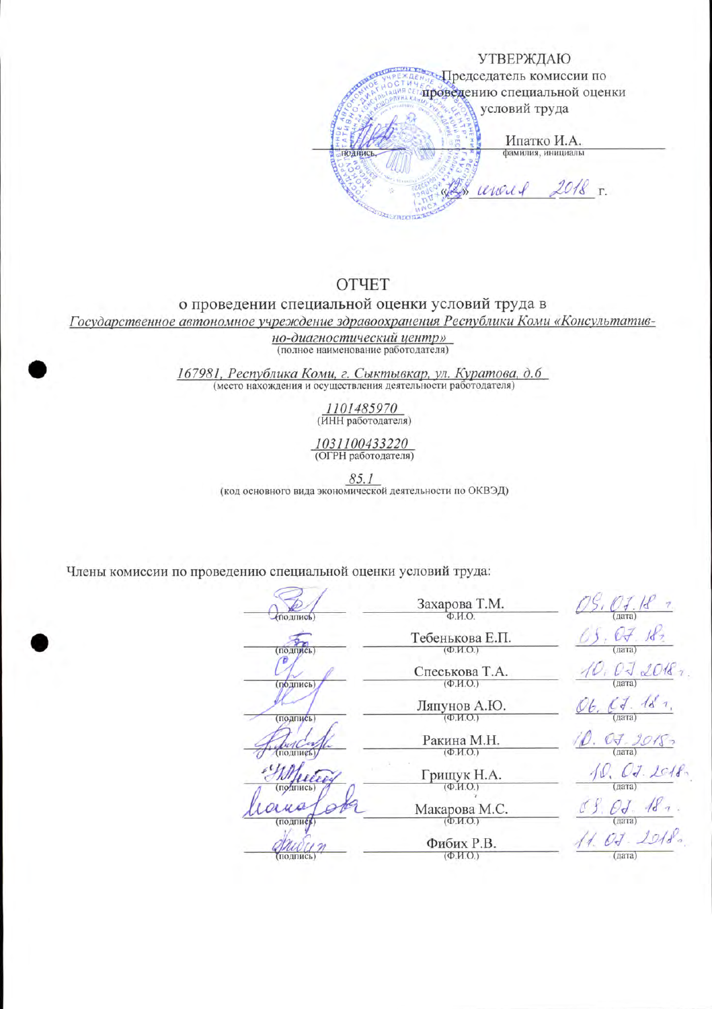

## **OTHET**

## о проведении специальной оценки условий труда в

Государственное автономное учреждение здравоохранения Республики Коми «Консультатив-

но-диагностический центр» (полное наименование работодателя)

167981, Республика Коми, г. Сыктывкар, ул. Куратова, д. 6 (место нахождения и осуществления деятельности работодателя)

 $\frac{1101485970}{(MHH pa60000000000)}$ 

1031100433220 (ОГРН работодателя)

85.1 (код основного вида экономической деятельности по ОКВЭД)

Члены комиссии по проведению специальной оценки условий труда:

Захарова Т.М. **ПОДПИСЬ** Тебенькова Е.П.  $(noanyc<sub>b</sub>)$  $(\Phi$ .  $M$ .  $O$ .)  $\sigma$ Спеськова Т.А.  $(\Phi$ .*H.O.*) (подпись) Ляпунов А.Ю.  $(\Phi$ .  $M$ .  $O$ .) (подпись) Ракина М.Н.  $(\Phi$ .M.O.) **ПОДПИСЬ** <u>N</u> Грищук Н.А. (подпись  $(\Phi, M.O.)$ ana Макарова М.С.  $(\Phi$ <sub>M</sub>.O.) (подпис) <u>M</u> Фибих Р.В.  $(\Phi$ .*H.O.*) (подпись)

 $10,072018$  $06.$   $C7.$   $18.7.$  $\sqrt{\rho}$ . O.J. 9018,  $\frac{10, 07.2018}{(narray)}$  $11.07.2018$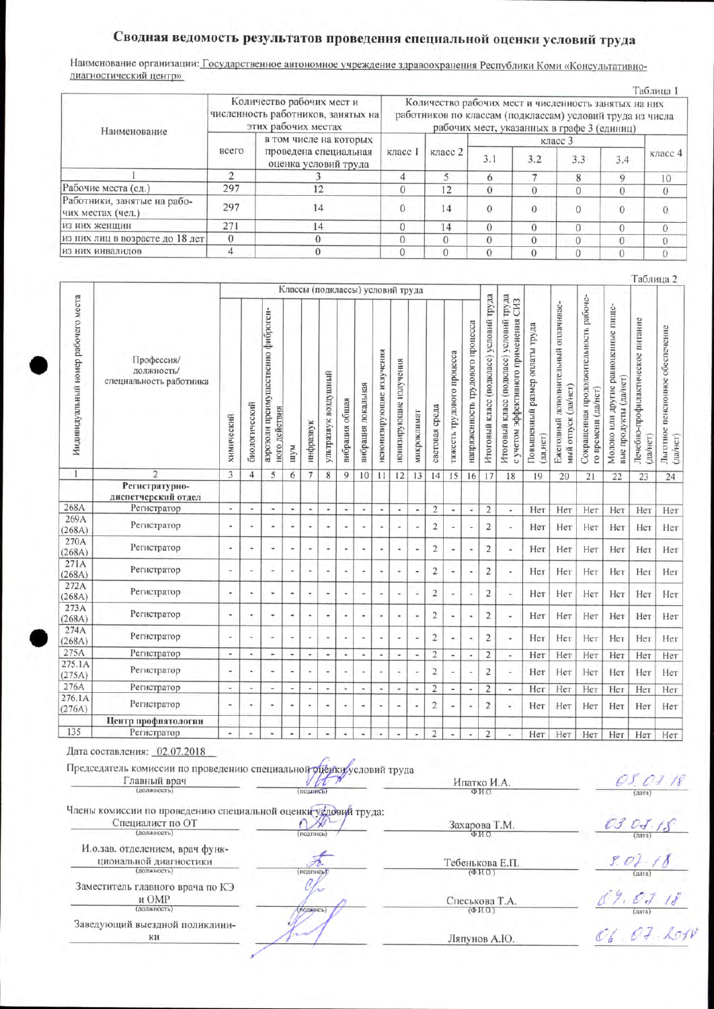## Сводная ведомость результатов проведения специальной оценки условий труда

Наименование организации: Государственное автономное учреждение здравоохранения Республики Коми «Консультативнодиагностический центр»

|                                                  |          | Количество рабочих мест и<br>численность работников, занятых на | і аолица<br>Количество рабочих мест и численность занятых на них<br>работников по классам (подклассам) условий труда из числа<br>рабочих мест, указанных в графе 3 (единиц) |          |     |          |              |     |         |  |  |  |
|--------------------------------------------------|----------|-----------------------------------------------------------------|-----------------------------------------------------------------------------------------------------------------------------------------------------------------------------|----------|-----|----------|--------------|-----|---------|--|--|--|
| Наименование                                     |          | этих рабочих местах                                             |                                                                                                                                                                             |          |     |          |              |     |         |  |  |  |
|                                                  |          | в том числе на которых                                          |                                                                                                                                                                             |          |     |          | класс 3      |     |         |  |  |  |
|                                                  | всего    | проведена специальная<br>оценка условий труда                   | класс 1                                                                                                                                                                     | класс 2  | 3.1 | 3.2      | 3.3          | 3.4 | класс 4 |  |  |  |
|                                                  |          |                                                                 | 4                                                                                                                                                                           | 5.       |     |          | $\mathbf{R}$ |     | 10      |  |  |  |
| Рабочие места (ед.)                              | 297      | 12                                                              | $\Omega$                                                                                                                                                                    | 12       |     |          |              |     |         |  |  |  |
| Работники, занятые на рабо-<br>чих местах (чел.) | 297      | 14                                                              |                                                                                                                                                                             | 14       |     | $\Omega$ |              |     |         |  |  |  |
| из них женщин                                    | 271      | 14                                                              | $\Omega$                                                                                                                                                                    | 14       |     | $\Omega$ |              |     |         |  |  |  |
| из них лиц в возрасте до 18 лет                  | $\Omega$ |                                                                 | $\Omega$                                                                                                                                                                    |          |     |          |              |     |         |  |  |  |
| ИЗ НИХ ИНВАЛИДОВ                                 |          |                                                                 |                                                                                                                                                                             | $\Omega$ |     | 0        |              |     |         |  |  |  |

|                                     |                                                     |                          |                          |                                                     |                          |                          |                                                                                                                                                                                                                                                                                    |                          |                          |                          |                                  |             |                |                            |                                  |                                         |                                                                                                |                                            |                                                            |                                                              |                                                              | Таблица 2                                    |                                             |
|-------------------------------------|-----------------------------------------------------|--------------------------|--------------------------|-----------------------------------------------------|--------------------------|--------------------------|------------------------------------------------------------------------------------------------------------------------------------------------------------------------------------------------------------------------------------------------------------------------------------|--------------------------|--------------------------|--------------------------|----------------------------------|-------------|----------------|----------------------------|----------------------------------|-----------------------------------------|------------------------------------------------------------------------------------------------|--------------------------------------------|------------------------------------------------------------|--------------------------------------------------------------|--------------------------------------------------------------|----------------------------------------------|---------------------------------------------|
|                                     |                                                     |                          |                          |                                                     |                          |                          |                                                                                                                                                                                                                                                                                    |                          |                          |                          | Классы (подклассы) условий труда |             |                |                            |                                  |                                         |                                                                                                |                                            |                                                            |                                                              |                                                              |                                              |                                             |
| Индивидуальный номер рабочего места | Профессия/<br>должность/<br>специальность работника | химический               | биологический            | аэрозоли преимущественно фиброген-<br>ного действия | иуш                      | нифразвук                | ультразвук воздушный                                                                                                                                                                                                                                                               | вибрация общая           | вибрация локальная       | неионизирующие излучения | излучения<br>ионизирующие        | микроклимат | световая среда | гяжесть трудового процесса | напряженность трудового процесса | Итоговый класс (подкласс) условий труда | Итоговый класс (подкласс) условий труда<br>CH <sub>3</sub><br>с учетом эффективного применения | Повышенный размер оплаты труда<br>да, нет) | Ежегодный дополнительный оплачивае-<br>мый отпуск (да/нет) | Сокращенная продолжительность рабоче-<br>го времени (да/нет) | Молоко или другие равноценные пище-<br>вые продукты (да/нет) | Лечебно-профилактическое питание<br>(да/нет) | Льготное пенсионное обеспечение<br>(да/нет) |
| $\mathbf{1}$                        | $\overline{2}$                                      | 3                        | $\overline{4}$           | 5                                                   | 6                        | 7                        | 8                                                                                                                                                                                                                                                                                  | 9                        | 10                       | 11                       | 12                               | 13          | 14             | 15                         | 16                               | 17                                      | 18                                                                                             | 19                                         | 20                                                         | 21                                                           | 22                                                           | 23                                           | 24                                          |
|                                     | Регистратурно-<br>диспетчерский отдел               |                          |                          |                                                     |                          |                          |                                                                                                                                                                                                                                                                                    |                          |                          |                          |                                  |             |                |                            |                                  |                                         |                                                                                                |                                            |                                                            |                                                              |                                                              |                                              |                                             |
| 268A                                | Регистратор                                         | ٠                        | $\overline{\phantom{a}}$ | ×.                                                  | ٠                        | $\blacksquare$           | ÷                                                                                                                                                                                                                                                                                  | ٠                        | ×                        | $\overline{\phantom{a}}$ | ٠                                | ٠           | $\overline{2}$ | ÷.                         | u                                | $\overline{2}$                          | $\overline{\phantom{a}}$                                                                       | Her                                        | Нет                                                        | Нет                                                          | Нет                                                          | Нет                                          | Нет                                         |
| 269A<br>(268A)                      | Регистратор                                         | ٠                        | ÷.                       | ۰                                                   | ä,                       | ٠                        | ۰                                                                                                                                                                                                                                                                                  | ٠                        | ٠                        | $\overline{a}$           | ٠                                |             | $\overline{2}$ |                            | ٠                                | $\overline{2}$                          | $\sim$                                                                                         | Her                                        | Нет                                                        | Her                                                          | Нет                                                          | Нет                                          | Her                                         |
| 270A<br>(268A)                      | Регистратор                                         | ٠                        | ٠                        | ٠                                                   | $\overline{\phantom{a}}$ | ٠                        | ٠                                                                                                                                                                                                                                                                                  | ٠                        | ٠                        |                          |                                  |             | $\overline{2}$ | ä,                         | $\frac{1}{2}$                    | $\overline{2}$                          | ÷                                                                                              | Her                                        | Her                                                        | Her                                                          | Her                                                          | Нет                                          | Нет                                         |
| 271A<br>(268A)                      | Регистратор                                         | ۰                        | ٠                        | ٠                                                   | $\overline{\phantom{a}}$ | $\overline{\phantom{a}}$ | ٠                                                                                                                                                                                                                                                                                  | $\overline{\phantom{a}}$ | ٠                        | ٠                        | ٠                                |             | $\overline{c}$ | ٠                          | ٠                                | $\overline{c}$                          | $\overline{\phantom{a}}$                                                                       | Her                                        | Her                                                        | Her                                                          | Her                                                          | Her                                          | Нет                                         |
| 272A<br>(268A)                      | Регистратор                                         | ٠                        | ٠                        | ü                                                   | ۰                        | $\overline{\phantom{a}}$ | ٠                                                                                                                                                                                                                                                                                  | ٠                        | ÷                        | ×,                       | ۰                                | ٠           | $\overline{2}$ |                            | ٠                                | $\overline{2}$                          | $\overline{a}$                                                                                 | Her                                        | Нет                                                        | Her                                                          | Her                                                          | Нет                                          | Her                                         |
| 273A<br>(268A)                      | Регистратор                                         | ÷                        | ۰                        | ٠                                                   | ٠                        | ٠                        | ٠                                                                                                                                                                                                                                                                                  | $\overline{\phantom{a}}$ | $\overline{\phantom{a}}$ | ÷                        | ۰                                | ٠           | $\overline{2}$ | ٠                          | $\blacksquare$                   | $\overline{2}$                          | $\overline{\phantom{a}}$                                                                       | Her                                        | Her                                                        | Her                                                          | Нет                                                          | Нет                                          | Нет                                         |
| 274A<br>(268A)                      | Регистратор                                         | ٠                        | ٠                        | ٠                                                   | $\frac{1}{2}$            | ٠                        | ٠                                                                                                                                                                                                                                                                                  | $\overline{\phantom{a}}$ | $\tilde{\phantom{a}}$    | $\overline{\phantom{a}}$ | ٠                                |             | $\overline{c}$ |                            | $\overline{\phantom{a}}$         | $\overline{2}$                          | $\overline{\phantom{a}}$                                                                       | Her                                        | Нет                                                        | Her                                                          | Нет                                                          | Нет                                          | Нет                                         |
| 275A                                | Регистратор                                         | $\overline{\phantom{a}}$ | $\overline{a}$           |                                                     | $\overline{a}$           | $\overline{\phantom{a}}$ | ٠                                                                                                                                                                                                                                                                                  | ¥                        | ¥                        | ÷                        | ÷                                | ù.          | $\overline{2}$ | $\overline{a}$             | $\overline{a}$                   | $\overline{2}$                          | $\overline{\phantom{a}}$                                                                       | Нет                                        | Нет                                                        | Нет                                                          | Нет                                                          | Нет                                          | Нет                                         |
| 275.1A<br>(275A)                    | Регистратор                                         | ٠                        | ٠                        | ٠                                                   |                          |                          | ۰                                                                                                                                                                                                                                                                                  | ٠                        | ٠                        | ٠                        |                                  |             | $\overline{c}$ | $\frac{1}{2}$              | $\overline{\phantom{a}}$         | $\overline{2}$                          | ٠                                                                                              | Нет                                        | Her                                                        | Нет                                                          | Нет                                                          | Her                                          | Her                                         |
| 276A                                | Регистратор                                         | $\blacksquare$           | w                        | ٠                                                   | ٠                        | ٠                        | $\centering \centering \includegraphics[width=0.85\textwidth]{figs/fig_1002-100}}% \caption{The 3D (black) method is used to be used for the left and right. The left and right is the same time. The right is the same time, the right is the same time.} \label{fig:fig:fig:1b}$ | ٠                        | $\tilde{\phantom{a}}$    | ٠                        | ٠                                | ٠           | $\overline{c}$ | $\overline{\phantom{0}}$   | $\overline{\phantom{a}}$         | 2                                       | ٠                                                                                              | Нет                                        | Her                                                        | Her                                                          | Нет                                                          | Нет                                          | Нет                                         |
| 276.1A<br>(276A)                    | Регистратор                                         | $\overline{\phantom{a}}$ | ٠                        |                                                     | ٠                        | ٠                        | ٠                                                                                                                                                                                                                                                                                  | ٠                        | $\blacksquare$           | ÷                        | ٠                                | ٠           | $\overline{2}$ | ٠                          |                                  | $\overline{2}$                          | ۰                                                                                              | Her                                        | Her                                                        | Her                                                          | Her                                                          | Her                                          | Нет                                         |
|                                     | Центр профпатологии                                 |                          |                          |                                                     |                          |                          |                                                                                                                                                                                                                                                                                    |                          |                          |                          |                                  |             |                |                            |                                  |                                         |                                                                                                |                                            |                                                            |                                                              |                                                              |                                              |                                             |
| 135                                 | Регистратор                                         | $\bullet$                | ÷                        | ٠                                                   | ×,                       |                          | ٠                                                                                                                                                                                                                                                                                  | ۰                        | $\overline{\phantom{a}}$ | ×                        |                                  |             | $\overline{c}$ |                            |                                  | $\overline{2}$                          |                                                                                                | Нет                                        | Her                                                        | Her                                                          | Нет                                                          | Нет                                          | Her                                         |

Дата составления: 02.07.2018

Председатель комиссии по проведению специальной фустфику/условий труда Главный врач

 $H$ 

 $\ell$ 

(поднись)

Члены комиссии по проведению специальной оценки условий труда: Специалист по ОТ ₩ (должность)

И.о.зав. отделением, врач функциональной диагностики ость

Заместитель главного врача по КЭ и ОМР (долж хть

Заведующий выездной поликлини-КИ

Тебенькова Е.П.

Ипатко И.А.

Захарова Т.М.

Спеськова Т.А.  $(\Phi, H, O)$ 

Ляпунов А.Ю.

 $OS. C1.18$ 

 $03.07.18$ 

 $rac{f'_{c}}{f_{c}}$ 

 $69.0718$  $O6. O7.$  Low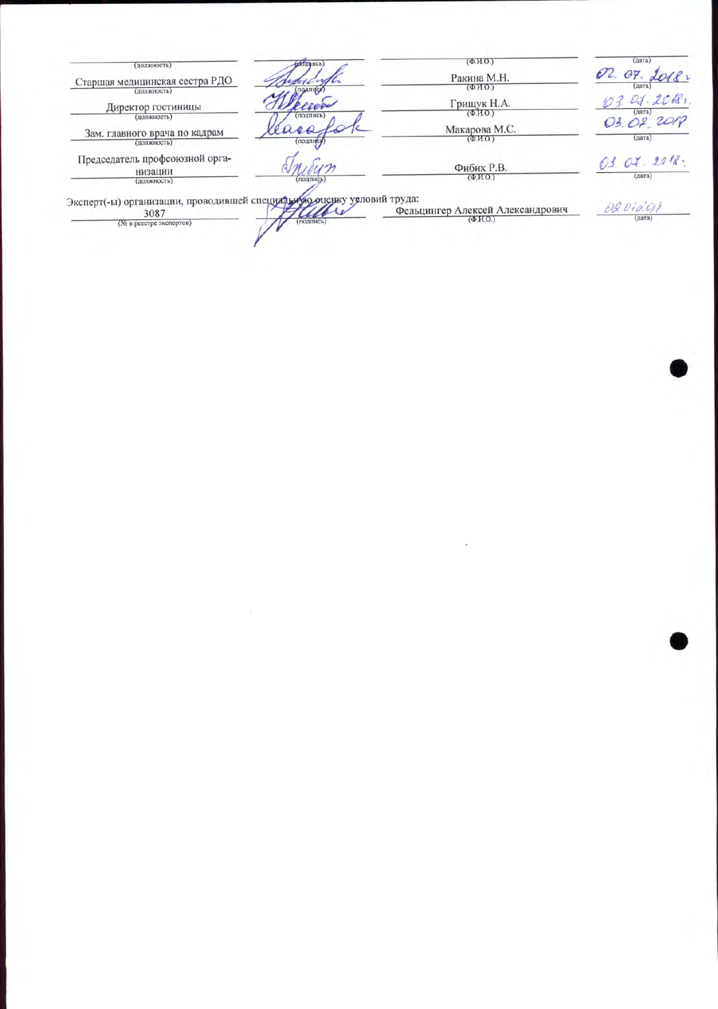| подвись)<br>(должность)                                                                                                | $(\Phi$ <sub>M</sub> O <sub>.</sub> )                                     | (дата)                |
|------------------------------------------------------------------------------------------------------------------------|---------------------------------------------------------------------------|-----------------------|
| Старшая медицинская сестра РДО                                                                                         | Ракина М.Н.<br>$(\Phi$ <sub>M</sub> O <sub>.</sub> )                      | 02.07.<br>лата        |
| подписк)<br>(должность)<br>Директор гостиницы                                                                          | Грищук Н.А.<br>$(\Phi, M.0.)$                                             | 27.201<br>(дата)      |
| подпись<br>(должность)<br>ras<br>Зам. главного врача по кадрам<br>(подпису<br>(должность)                              | Макарова М.С.<br>(Φ.M.O.)                                                 | 03.07 2018<br>(дата)  |
| Председатель профсоюзной орга-<br>низации<br>(подпись)<br>(должность)                                                  | Фибих Р.В.<br>$(\Phi$ <sub>M</sub> O <sub>.</sub> )                       | 03.04.2918.<br>(дата) |
| Эксперт(-ы) организации, проводившей специальную оценку условий труда:<br>3087<br>(подпись)<br>(№ в реестре экспертов) | Фельцингер Алексей Александрович<br>$(\Phi$ <sub>H</sub> O <sub>.</sub> ) | 02.072018<br>(дата)   |

 $\mathcal{L}(\mathcal{A})$  and  $\mathcal{L}(\mathcal{A})$  . In the case of  $\mathcal{A}(\mathcal{A})$ 

 $\alpha$